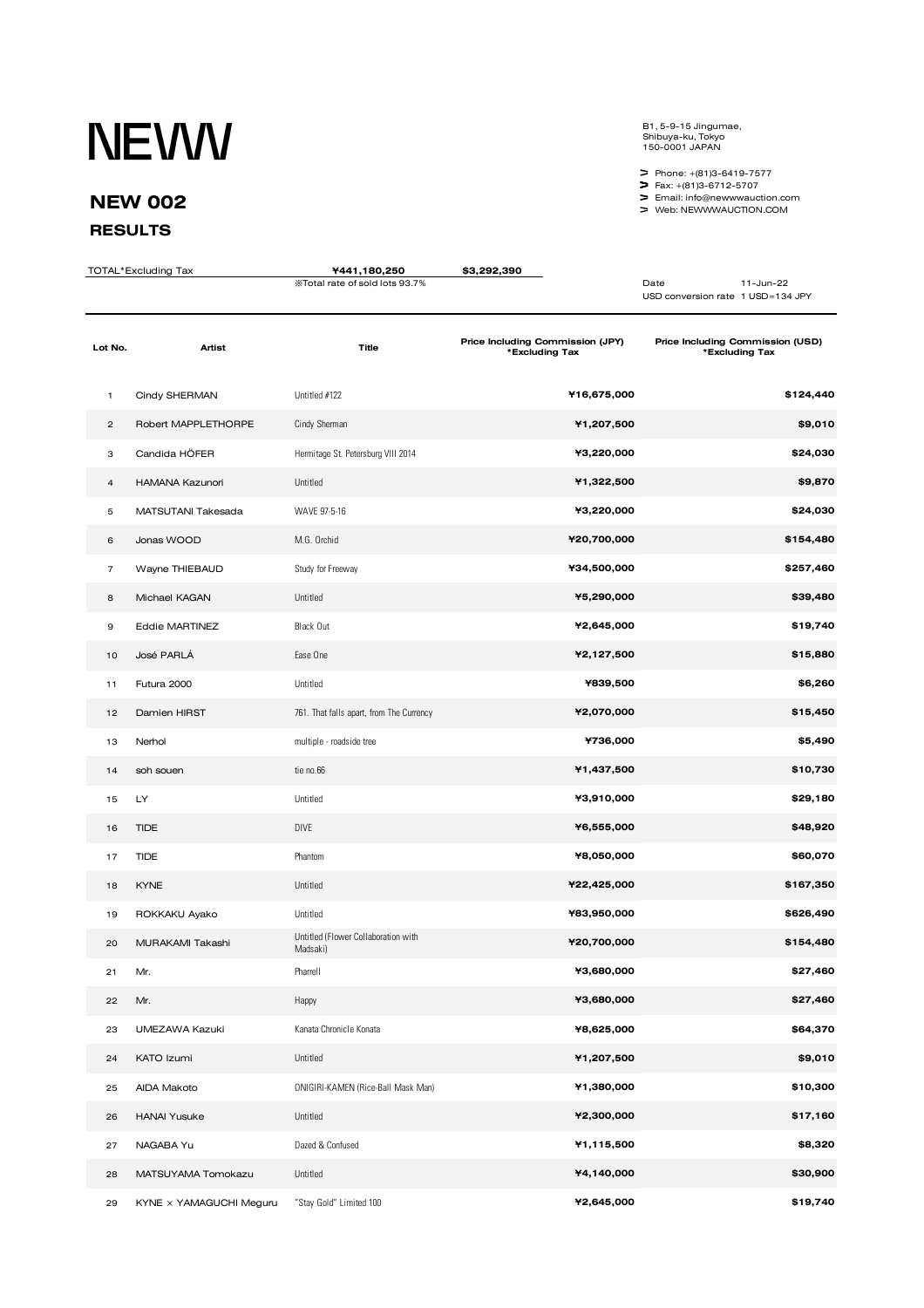## **NEWW**

## **NEW 002**

## **RESULTS**

B1, 5-9-15 Jingumae, Shibuya-ku, Tokyo 150-0001 JAPAN

 Phone: +(81)3-6419-7577 Fax: +(81)3-6712-5707

Email: info@newwwauction.com Web: NEWWWAUCTION.COM

| TOTAL*Excluding Tax |                         | ¥441,180,250                                    | \$3,292,390                                        |                                                        |
|---------------------|-------------------------|-------------------------------------------------|----------------------------------------------------|--------------------------------------------------------|
|                     |                         | %Total rate of sold lots 93.7%                  |                                                    | Date<br>11-Jun-22<br>USD conversion rate 1 USD=134 JPY |
| Lot No.             | Artist                  | <b>Title</b>                                    | Price Including Commission (JPY)<br>*Excluding Tax | Price Including Commission (USD)<br>*Excluding Tax     |
| 1                   | Cindy SHERMAN           | Untitled #122                                   | ¥16,675,000                                        | \$124,440                                              |
| $\overline{c}$      | Robert MAPPLETHORPE     | Cindy Sherman                                   | ¥1,207,500                                         | \$9,010                                                |
| З                   | Candida HÖFER           | Hermitage St. Petersburg VIII 2014              | ¥3,220,000                                         | \$24,030                                               |
| 4                   | HAMANA Kazunori         | Untitled                                        | ¥1,322,500                                         | \$9,870                                                |
| 5                   | MATSUTANI Takesada      | WAVE 97-5-16                                    | ¥3,220,000                                         | \$24,030                                               |
| 6                   | Jonas WOOD              | M.G. Orchid                                     | ¥20,700,000                                        | \$154,480                                              |
| $\overline{7}$      | Wayne THIEBAUD          | Study for Freeway                               | ¥34,500,000                                        | \$257,460                                              |
| 8                   | Michael KAGAN           | Untitled                                        | ¥5,290,000                                         | \$39,480                                               |
| 9                   | <b>Eddie MARTINEZ</b>   | Black Out                                       | ¥2,645,000                                         | \$19,740                                               |
| 10                  | José PARLÁ              | Ease One                                        | ¥2,127,500                                         | \$15,880                                               |
| 11                  | Futura 2000             | Untitled                                        | ¥839,500                                           | \$6,260                                                |
| 12                  | Damien HIRST            | 761. That falls apart, from The Currency        | ¥2,070,000                                         | \$15,450                                               |
| 13                  | Nerhol                  | multiple - roadside tree                        | ¥736,000                                           | \$5,490                                                |
| 14                  | soh souen               | tie no.66                                       | ¥1,437,500                                         | \$10,730                                               |
| 15                  | LY                      | Untitled                                        | ¥3,910,000                                         | \$29,180                                               |
| 16                  | <b>TIDE</b>             | <b>DIVE</b>                                     | ¥6,555,000                                         | \$48,920                                               |
| 17                  | <b>TIDE</b>             | Phantom                                         | ¥8,050,000                                         | \$60,070                                               |
| 18                  | <b>KYNE</b>             | Untitled                                        | ¥22,425,000                                        | \$167,350                                              |
| 19                  | ROKKAKU Ayako           | Untitled                                        | ¥83,950,000                                        | \$626,490                                              |
| 20                  | MURAKAMI Takashi        | Untitled (Flower Collaboration with<br>Madsaki) | ¥20,700,000                                        | \$154,480                                              |
| 21                  | Mr.                     | Pharrell                                        | ¥3,680,000                                         | \$27,460                                               |
| 22                  | Mr.                     | Happy                                           | ¥3,680,000                                         | \$27,460                                               |
| 23                  | UMEZAWA Kazuki          | Kanata Chronicle Konata                         | ¥8,625,000                                         | \$64,370                                               |
| 24                  | KATO Izumi              | Untitled                                        | ¥1,207,500                                         | \$9,010                                                |
| 25                  | AIDA Makoto             | ONIGIRI-KAMEN (Rice-Ball Mask Man)              | ¥1,380,000                                         | \$10,300                                               |
| 26                  | <b>HANAI Yusuke</b>     | Untitled                                        | ¥2,300,000                                         | \$17,160                                               |
| 27                  | NAGABA Yu               | Dazed & Confused                                | ¥1,115,500                                         | \$8,320                                                |
| 28                  | MATSUYAMA Tomokazu      | Untitled                                        | ¥4,140,000                                         | \$30,900                                               |
| 29                  | KYNE x YAMAGUCHI Meguru | "Stay Gold" Limited 100                         | ¥2,645,000                                         | \$19,740                                               |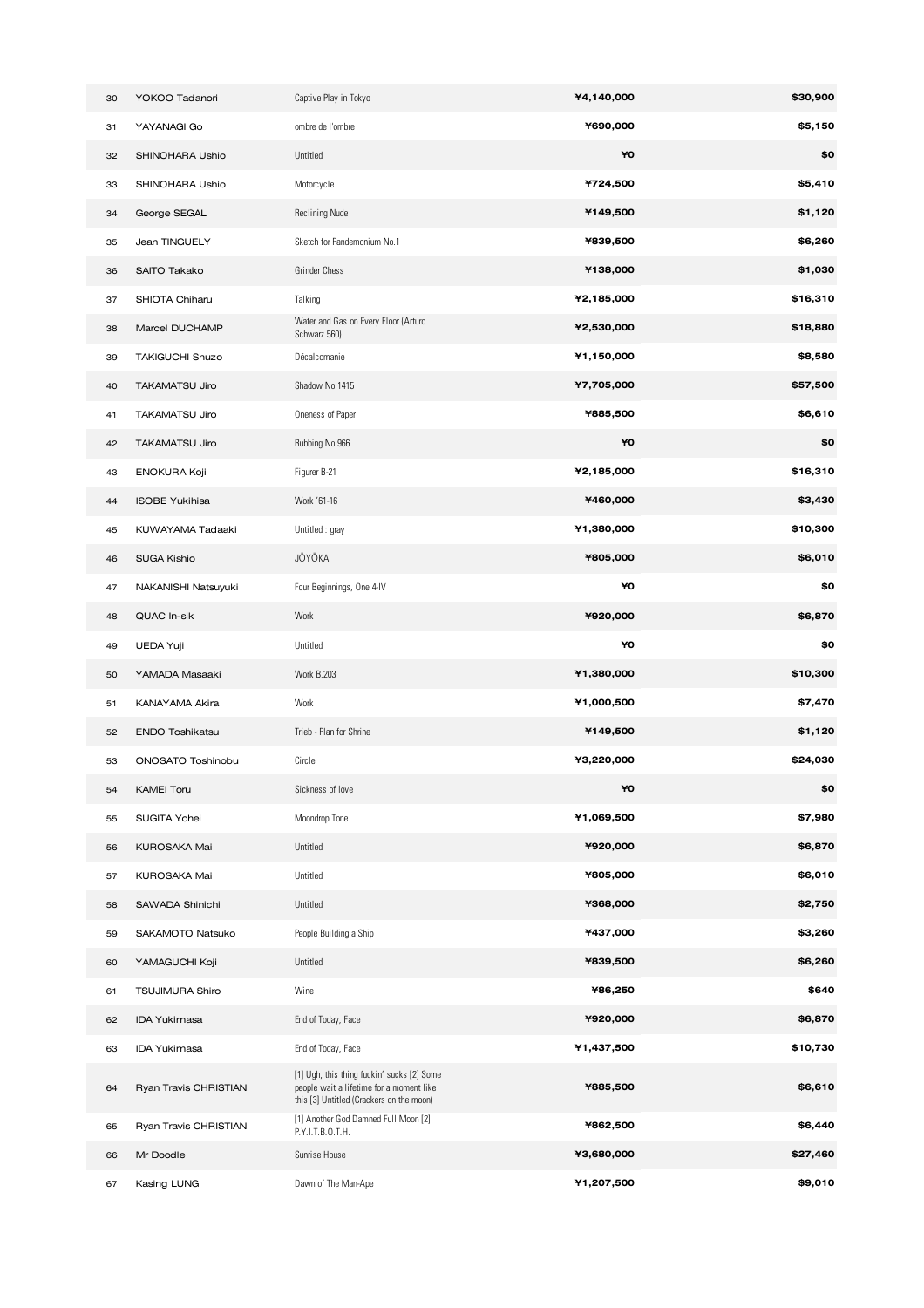| 30 | YOKOO Tadanori         | Captive Play in Tokyo                                                                                                              | ¥4,140,000 | \$30,900 |
|----|------------------------|------------------------------------------------------------------------------------------------------------------------------------|------------|----------|
| 31 | YAYANAGI Go            | ombre de l'ombre                                                                                                                   | ¥690,000   | \$5,150  |
| 32 | SHINOHARA Ushio        | Untitled                                                                                                                           | ¥O         | \$0      |
| 33 | SHINOHARA Ushio        | Motorcycle                                                                                                                         | ¥724,500   | \$5,410  |
| 34 | George SEGAL           | <b>Reclining Nude</b>                                                                                                              | ¥149,500   | \$1,120  |
| 35 | Jean TINGUELY          | Sketch for Pandemonium No.1                                                                                                        | ¥839,500   | \$6,260  |
| 36 | SAITO Takako           | <b>Grinder Chess</b>                                                                                                               | ¥138,000   | \$1,030  |
| 37 | SHIOTA Chiharu         | Talking                                                                                                                            | ¥2,185,000 | \$16,310 |
| 38 | Marcel DUCHAMP         | Water and Gas on Every Floor (Arturo<br>Schwarz 560)                                                                               | ¥2,530,000 | \$18,880 |
| 39 | TAKIGUCHI Shuzo        | Décalcomanie                                                                                                                       | ¥1,150,000 | \$8,580  |
| 40 | <b>TAKAMATSU Jiro</b>  | Shadow No.1415                                                                                                                     | ¥7,705,000 | \$57,500 |
| 41 | TAKAMATSU Jiro         | Oneness of Paper                                                                                                                   | ¥885,500   | \$6,610  |
| 42 | TAKAMATSU Jiro         | Rubbing No.966                                                                                                                     | ¥O         | \$0      |
| 43 | ENOKURA Koji           | Figurer B-21                                                                                                                       | ¥2,185,000 | \$16,310 |
| 44 | <b>ISOBE Yukihisa</b>  | Work '61-16                                                                                                                        | ¥460,000   | \$3,430  |
| 45 | KUWAYAMA Tadaaki       | Untitled: gray                                                                                                                     | ¥1,380,000 | \$10,300 |
| 46 | <b>SUGA Kishio</b>     | JŌYŌKA                                                                                                                             | ¥805,000   | \$6,010  |
| 47 | NAKANISHI Natsuyuki    | Four Beginnings, One 4-IV                                                                                                          | ¥O         | \$0      |
| 48 | QUAC In-sik            | Work                                                                                                                               | ¥920,000   | \$6,870  |
| 49 | UEDA Yuji              | Untitled                                                                                                                           | ¥O         | \$0      |
| 50 | YAMADA Masaaki         | <b>Work B.203</b>                                                                                                                  | ¥1,380,000 | \$10,300 |
| 51 | KANAYAMA Akira         | Work                                                                                                                               | ¥1,000,500 | \$7,470  |
| 52 | <b>ENDO Toshikatsu</b> | Trieb - Plan for Shrine                                                                                                            | ¥149,500   | \$1,120  |
| 53 | ONOSATO Toshinobu      | Circle                                                                                                                             | ¥3,220,000 | \$24,030 |
| 54 | <b>KAMEI Toru</b>      | Sickness of love                                                                                                                   | ¥0         | \$0      |
| 55 | SUGITA Yohei           | Moondrop Tone                                                                                                                      | ¥1,069,500 | \$7,980  |
| 56 | KUROSAKA Mai           | Untitled                                                                                                                           | ¥920,000   | \$6,870  |
| 57 | KUROSAKA Mai           | Untitled                                                                                                                           | ¥805,000   | \$6,010  |
| 58 | SAWADA Shinichi        | Untitled                                                                                                                           | ¥368,000   | \$2,750  |
| 59 | SAKAMOTO Natsuko       | People Building a Ship                                                                                                             | ¥437,000   | \$3,260  |
| 60 | YAMAGUCHI Koji         | Untitled                                                                                                                           | ¥839,500   | \$6,260  |
| 61 | <b>TSUJIMURA Shiro</b> | Wine                                                                                                                               | ¥86,250    | \$640    |
| 62 | <b>IDA Yukimasa</b>    | End of Today, Face                                                                                                                 | ¥920,000   | \$6,870  |
| 63 | <b>IDA Yukimasa</b>    | End of Today, Face                                                                                                                 | ¥1,437,500 | \$10,730 |
| 64 | Ryan Travis CHRISTIAN  | [1] Ugh, this thing fuckin' sucks [2] Some<br>people wait a lifetime for a moment like<br>this [3] Untitled (Crackers on the moon) | ¥885,500   | \$6,610  |
| 65 | Ryan Travis CHRISTIAN  | [1] Another God Damned Full Moon [2]<br>P.Y.I.T.B.O.T.H.                                                                           | ¥862,500   | \$6,440  |
| 66 | Mr Doodle              | Sunrise House                                                                                                                      | ¥3,680,000 | \$27,460 |
| 67 | Kasing LUNG            | Dawn of The Man-Ape                                                                                                                | ¥1,207,500 | \$9,010  |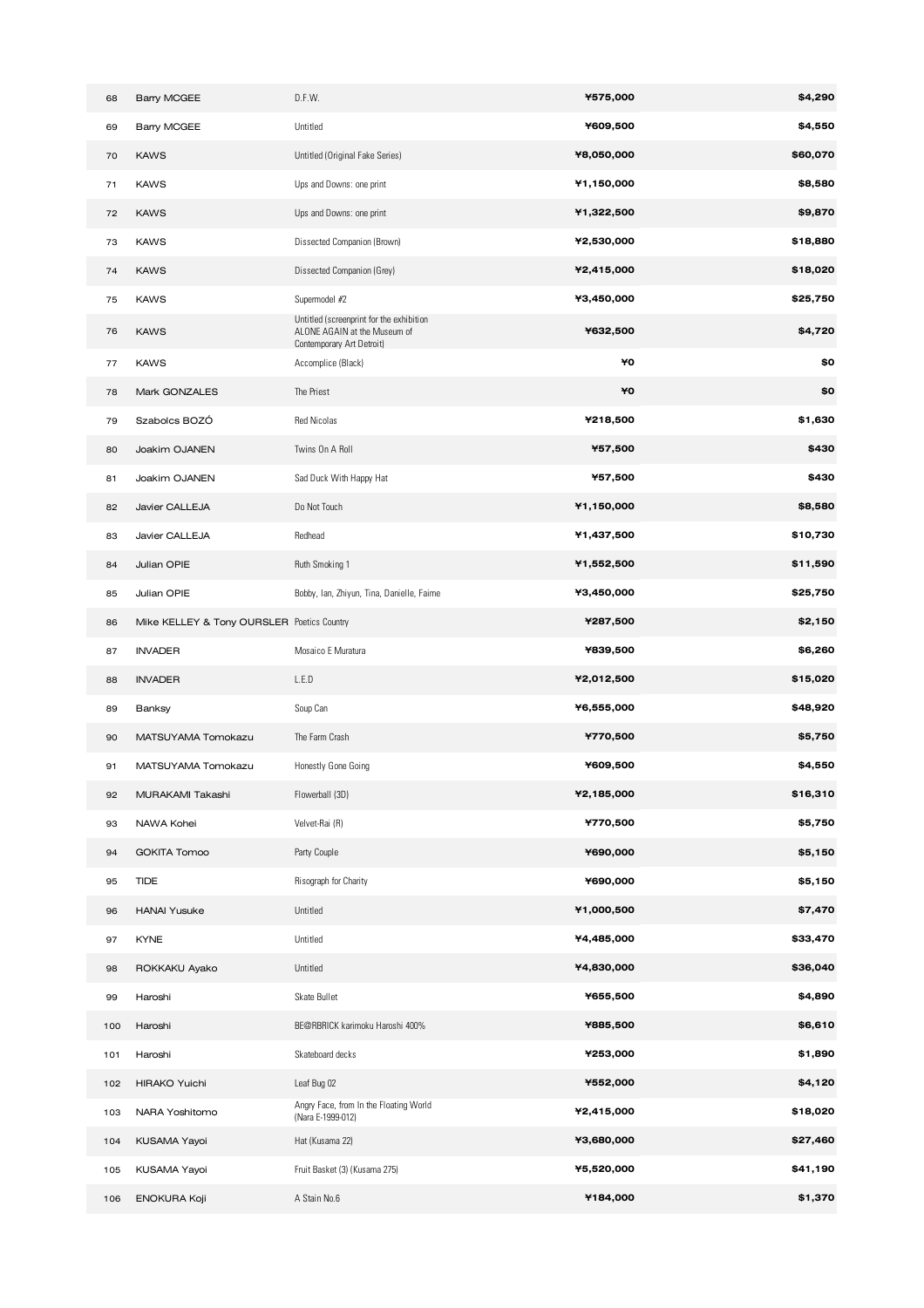| 68  | <b>Barry MCGEE</b>                         | D.F.W.                                                                                                | ¥575,000   | \$4,290  |
|-----|--------------------------------------------|-------------------------------------------------------------------------------------------------------|------------|----------|
| 69  | <b>Barry MCGEE</b>                         | Untitled                                                                                              | ¥609,500   | \$4,550  |
| 70  | <b>KAWS</b>                                | Untitled (Original Fake Series)                                                                       | ¥8,050,000 | \$60,070 |
| 71  | <b>KAWS</b>                                | Ups and Downs: one print                                                                              | ¥1,150,000 | \$8,580  |
| 72  | <b>KAWS</b>                                | Ups and Downs: one print                                                                              | ¥1,322,500 | \$9,870  |
| 73  | <b>KAWS</b>                                | Dissected Companion (Brown)                                                                           | ¥2,530,000 | \$18,880 |
| 74  | <b>KAWS</b>                                | Dissected Companion (Grey)                                                                            | ¥2,415,000 | \$18,020 |
| 75  | <b>KAWS</b>                                | Supermodel #2                                                                                         | ¥3,450,000 | \$25,750 |
| 76  | <b>KAWS</b>                                | Untitled (screenprint for the exhibition<br>ALONE AGAIN at the Museum of<br>Contemporary Art Detroit) | ¥632,500   | \$4,720  |
| 77  | <b>KAWS</b>                                | Accomplice (Black)                                                                                    | ¥O         | \$0      |
| 78  | Mark GONZALES                              | The Priest                                                                                            | ¥O         | \$0      |
| 79  | Szabolcs BOZÓ                              | Red Nicolas                                                                                           | ¥218,500   | \$1,630  |
| 80  | Joakim OJANEN                              | Twins On A Roll                                                                                       | ¥57,500    | \$430    |
| 81  | Joakim OJANEN                              | Sad Duck With Happy Hat                                                                               | ¥57,500    | \$430    |
| 82  | Javier CALLEJA                             | Do Not Touch                                                                                          | ¥1,150,000 | \$8,580  |
| 83  | Javier CALLEJA                             | Redhead                                                                                               | ¥1,437,500 | \$10,730 |
| 84  | Julian OPIE                                | Ruth Smoking 1                                                                                        | ¥1,552,500 | \$11,590 |
| 85  | Julian OPIE                                | Bobby, Ian, Zhiyun, Tina, Danielle, Faime                                                             | ¥3,450,000 | \$25,750 |
| 86  | Mike KELLEY & Tony OURSLER Poetics Country |                                                                                                       | ¥287,500   | \$2,150  |
| 87  | <b>INVADER</b>                             | Mosaico E Muratura                                                                                    | ¥839,500   | \$6,260  |
| 88  | <b>INVADER</b>                             | L.E.D                                                                                                 | ¥2,012,500 | \$15,020 |
| 89  | Banksy                                     | Soup Can                                                                                              | ¥6,555,000 | \$48,920 |
| 90  | MATSUYAMA Tomokazu                         | The Farm Crash                                                                                        | ¥770,500   | \$5,750  |
| 91  | MATSUYAMA Tomokazu                         | Honestly Gone Going                                                                                   | ¥609,500   | \$4,550  |
| 92  | MURAKAMI Takashi                           | Flowerball (3D)                                                                                       | ¥2,185,000 | \$16,310 |
| 93  | NAWA Kohei                                 | Velvet-Rai (R)                                                                                        | ¥770,500   | \$5,750  |
| 94  | <b>GOKITA Tomoo</b>                        | Party Couple                                                                                          | ¥690,000   | \$5,150  |
| 95  | <b>TIDE</b>                                | Risograph for Charity                                                                                 | ¥690,000   | \$5,150  |
| 96  | <b>HANAI Yusuke</b>                        | Untitled                                                                                              | ¥1,000,500 | \$7,470  |
| 97  | <b>KYNE</b>                                | Untitled                                                                                              | ¥4,485,000 | \$33,470 |
| 98  | ROKKAKU Ayako                              | Untitled                                                                                              | ¥4,830,000 | \$36,040 |
| 99  | Haroshi                                    | Skate Bullet                                                                                          | ¥655,500   | \$4,890  |
| 100 | Haroshi                                    | BE@RBRICK karimoku Haroshi 400%                                                                       | ¥885,500   | \$6,610  |
| 101 | Haroshi                                    | Skateboard decks                                                                                      | ¥253,000   | \$1,890  |
| 102 | <b>HIRAKO Yuichi</b>                       | Leaf Bug 02                                                                                           | ¥552,000   | \$4,120  |
| 103 | NARA Yoshitomo                             | Angry Face, from In the Floating World<br>(Nara E-1999-012)                                           | ¥2,415,000 | \$18,020 |
| 104 | KUSAMA Yayoi                               | Hat (Kusama 22)                                                                                       | ¥3,680,000 | \$27,460 |
| 105 | KUSAMA Yayoi                               | Fruit Basket (3) (Kusama 275)                                                                         | ¥5,520,000 | \$41,190 |
| 106 | <b>ENOKURA Koji</b>                        | A Stain No.6                                                                                          | ¥184,000   | \$1,370  |